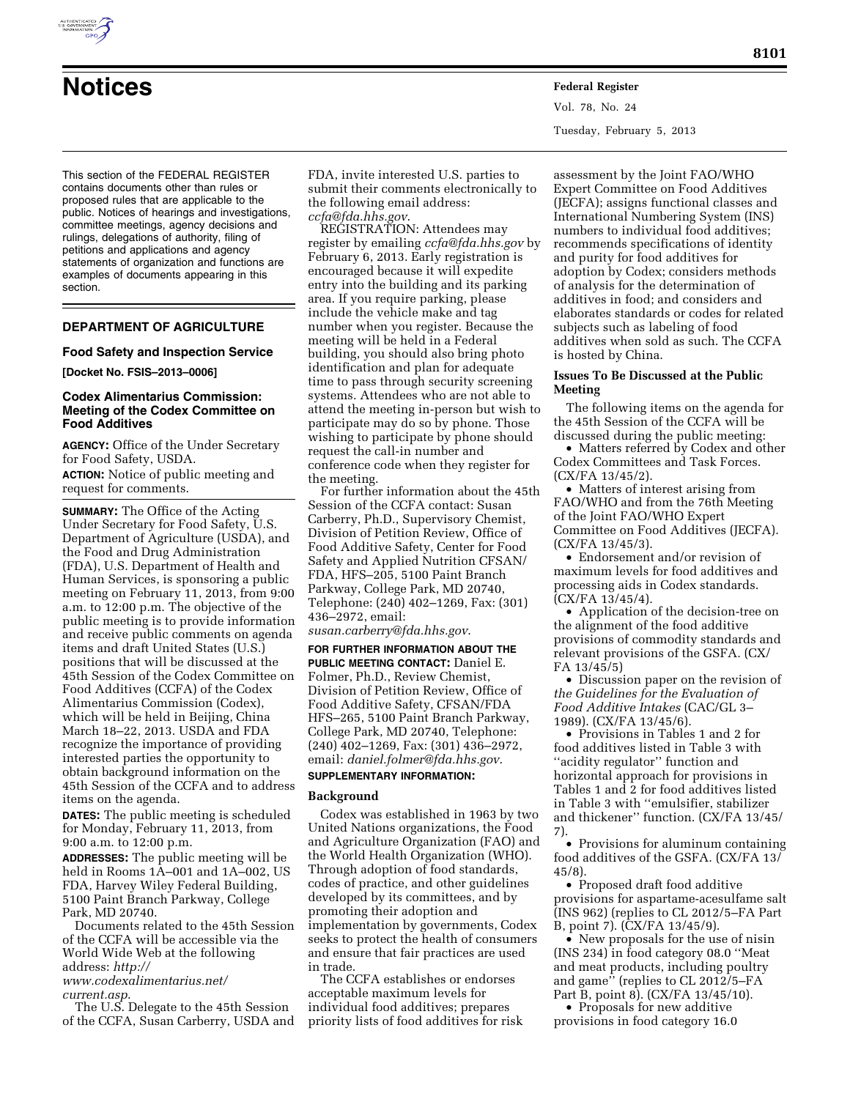

**Notices Federal Register** Vol. 78, No. 24 Tuesday, February 5, 2013

This section of the FEDERAL REGISTER contains documents other than rules or proposed rules that are applicable to the public. Notices of hearings and investigations, committee meetings, agency decisions and rulings, delegations of authority, filing of petitions and applications and agency statements of organization and functions are examples of documents appearing in this section.

# **DEPARTMENT OF AGRICULTURE**

## **Food Safety and Inspection Service**

## **[Docket No. FSIS–2013–0006]**

# **Codex Alimentarius Commission: Meeting of the Codex Committee on Food Additives**

**AGENCY:** Office of the Under Secretary for Food Safety, USDA. **ACTION:** Notice of public meeting and

request for comments.

**SUMMARY:** The Office of the Acting Under Secretary for Food Safety, U.S. Department of Agriculture (USDA), and the Food and Drug Administration (FDA), U.S. Department of Health and Human Services, is sponsoring a public meeting on February 11, 2013, from 9:00 a.m. to 12:00 p.m. The objective of the public meeting is to provide information and receive public comments on agenda items and draft United States (U.S.) positions that will be discussed at the 45th Session of the Codex Committee on Food Additives (CCFA) of the Codex Alimentarius Commission (Codex), which will be held in Beijing, China March 18–22, 2013. USDA and FDA recognize the importance of providing interested parties the opportunity to obtain background information on the 45th Session of the CCFA and to address items on the agenda.

**DATES:** The public meeting is scheduled for Monday, February 11, 2013, from 9:00 a.m. to 12:00 p.m.

**ADDRESSES:** The public meeting will be held in Rooms 1A–001 and 1A–002, US FDA, Harvey Wiley Federal Building, 5100 Paint Branch Parkway, College Park, MD 20740.

Documents related to the 45th Session of the CCFA will be accessible via the World Wide Web at the following address: *[http://](http://www.codexalimentarius.net/current.asp)  [www.codexalimentarius.net/](http://www.codexalimentarius.net/current.asp)* 

*[current.asp](http://www.codexalimentarius.net/current.asp)*.

The U.S. Delegate to the 45th Session of the CCFA, Susan Carberry, USDA and FDA, invite interested U.S. parties to submit their comments electronically to the following email address: *[ccfa@fda.hhs.gov](mailto:ccfa@fda.hhs.gov)*.

REGISTRATION: Attendees may register by emailing *[ccfa@fda.hhs.gov](mailto:ccfa@fda.hhs.gov)* by February 6, 2013. Early registration is encouraged because it will expedite entry into the building and its parking area. If you require parking, please include the vehicle make and tag number when you register. Because the meeting will be held in a Federal building, you should also bring photo identification and plan for adequate time to pass through security screening systems. Attendees who are not able to attend the meeting in-person but wish to participate may do so by phone. Those wishing to participate by phone should request the call-in number and conference code when they register for the meeting.

For further information about the 45th Session of the CCFA contact: Susan Carberry, Ph.D., Supervisory Chemist, Division of Petition Review, Office of Food Additive Safety, Center for Food Safety and Applied Nutrition CFSAN/ FDA, HFS–205, 5100 Paint Branch Parkway, College Park, MD 20740, Telephone: (240) 402–1269, Fax: (301) 436–2972, email:

*[susan.carberry@fda.hhs.gov](mailto:susan.carberry@fda.hhs.gov)*.

**FOR FURTHER INFORMATION ABOUT THE PUBLIC MEETING CONTACT:** Daniel E. Folmer, Ph.D., Review Chemist, Division of Petition Review, Office of Food Additive Safety, CFSAN/FDA HFS–265, 5100 Paint Branch Parkway, College Park, MD 20740, Telephone: (240) 402–1269, Fax: (301) 436–2972, email: *[daniel.folmer@fda.hhs.gov](mailto:daniel.folmer@fda.hhs.gov)*.

# **SUPPLEMENTARY INFORMATION:**

# **Background**

Codex was established in 1963 by two United Nations organizations, the Food and Agriculture Organization (FAO) and the World Health Organization (WHO). Through adoption of food standards, codes of practice, and other guidelines developed by its committees, and by promoting their adoption and implementation by governments, Codex seeks to protect the health of consumers and ensure that fair practices are used in trade.

The CCFA establishes or endorses acceptable maximum levels for individual food additives; prepares priority lists of food additives for risk

assessment by the Joint FAO/WHO Expert Committee on Food Additives (JECFA); assigns functional classes and International Numbering System (INS) numbers to individual food additives; recommends specifications of identity and purity for food additives for adoption by Codex; considers methods of analysis for the determination of additives in food; and considers and elaborates standards or codes for related subjects such as labeling of food additives when sold as such. The CCFA is hosted by China.

## **Issues To Be Discussed at the Public Meeting**

The following items on the agenda for the 45th Session of the CCFA will be discussed during the public meeting:

• Matters referred by Codex and other Codex Committees and Task Forces. (CX/FA 13/45/2).

• Matters of interest arising from FAO/WHO and from the 76th Meeting of the Joint FAO/WHO Expert Committee on Food Additives (JECFA). (CX/FA 13/45/3).

• Endorsement and/or revision of maximum levels for food additives and processing aids in Codex standards. (CX/FA 13/45/4).

• Application of the decision-tree on the alignment of the food additive provisions of commodity standards and relevant provisions of the GSFA. (CX/ FA 13/45/5)

• Discussion paper on the revision of *the Guidelines for the Evaluation of Food Additive Intakes* (CAC/GL 3– 1989). (CX/FA 13/45/6).

• Provisions in Tables 1 and 2 for food additives listed in Table 3 with ''acidity regulator'' function and horizontal approach for provisions in Tables 1 and 2 for food additives listed in Table 3 with ''emulsifier, stabilizer and thickener'' function. (CX/FA 13/45/ 7).

• Provisions for aluminum containing food additives of the GSFA. (CX/FA 13/ 45/8).

• Proposed draft food additive provisions for aspartame-acesulfame salt (INS 962) (replies to CL 2012/5–FA Part B, point 7). (CX/FA 13/45/9).

• New proposals for the use of nisin (INS 234) in food category 08.0 ''Meat and meat products, including poultry and game'' (replies to CL 2012/5–FA Part B, point 8). (CX/FA 13/45/10).

• Proposals for new additive provisions in food category 16.0